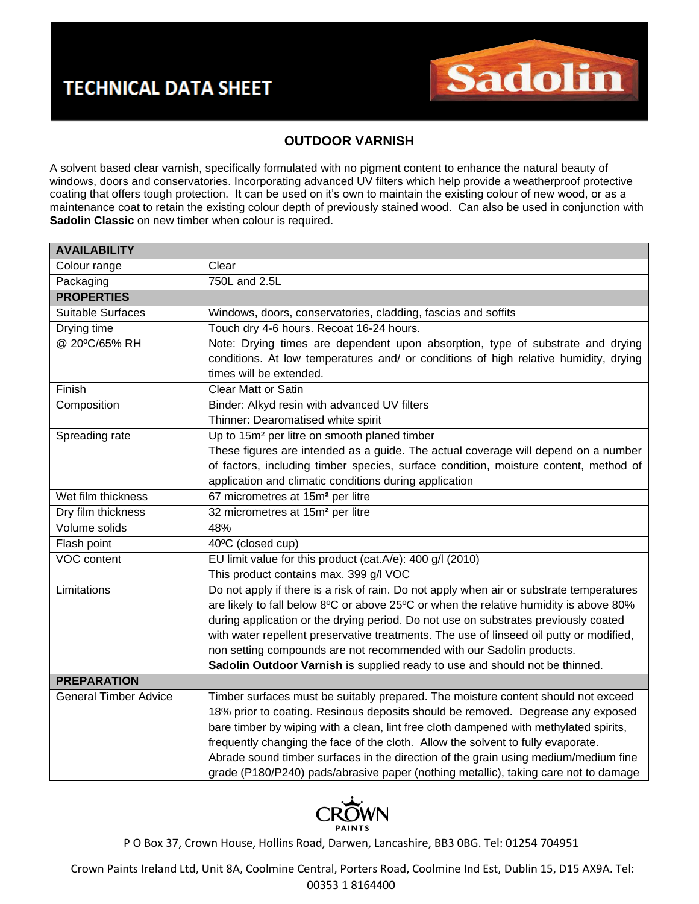

## **OUTDOOR VARNISH**

A solvent based clear varnish, specifically formulated with no pigment content to enhance the natural beauty of windows, doors and conservatories. Incorporating advanced UV filters which help provide a weatherproof protective coating that offers tough protection. It can be used on it's own to maintain the existing colour of new wood, or as a maintenance coat to retain the existing colour depth of previously stained wood. Can also be used in conjunction with **Sadolin Classic** on new timber when colour is required.

| <b>AVAILABILITY</b>          |                                                                                          |
|------------------------------|------------------------------------------------------------------------------------------|
| Colour range                 | Clear                                                                                    |
| Packaging                    | 750L and 2.5L                                                                            |
| <b>PROPERTIES</b>            |                                                                                          |
| Suitable Surfaces            | Windows, doors, conservatories, cladding, fascias and soffits                            |
| Drying time                  | Touch dry 4-6 hours. Recoat 16-24 hours.                                                 |
| @ 20°C/65% RH                | Note: Drying times are dependent upon absorption, type of substrate and drying           |
|                              | conditions. At low temperatures and/ or conditions of high relative humidity, drying     |
|                              | times will be extended.                                                                  |
| Finish                       | <b>Clear Matt or Satin</b>                                                               |
| Composition                  | Binder: Alkyd resin with advanced UV filters                                             |
|                              | Thinner: Dearomatised white spirit                                                       |
| Spreading rate               | Up to 15m <sup>2</sup> per litre on smooth planed timber                                 |
|                              | These figures are intended as a guide. The actual coverage will depend on a number       |
|                              | of factors, including timber species, surface condition, moisture content, method of     |
|                              | application and climatic conditions during application                                   |
| Wet film thickness           | 67 micrometres at 15m <sup>2</sup> per litre                                             |
| Dry film thickness           | 32 micrometres at 15m <sup>2</sup> per litre                                             |
| Volume solids                | 48%                                                                                      |
| Flash point                  | 40°C (closed cup)                                                                        |
| <b>VOC content</b>           | EU limit value for this product (cat.A/e): 400 g/l (2010)                                |
|                              | This product contains max. 399 g/l VOC                                                   |
| Limitations                  | Do not apply if there is a risk of rain. Do not apply when air or substrate temperatures |
|                              | are likely to fall below 8°C or above 25°C or when the relative humidity is above 80%    |
|                              | during application or the drying period. Do not use on substrates previously coated      |
|                              | with water repellent preservative treatments. The use of linseed oil putty or modified,  |
|                              | non setting compounds are not recommended with our Sadolin products.                     |
|                              | Sadolin Outdoor Varnish is supplied ready to use and should not be thinned.              |
| <b>PREPARATION</b>           |                                                                                          |
| <b>General Timber Advice</b> | Timber surfaces must be suitably prepared. The moisture content should not exceed        |
|                              | 18% prior to coating. Resinous deposits should be removed. Degrease any exposed          |
|                              | bare timber by wiping with a clean, lint free cloth dampened with methylated spirits,    |
|                              | frequently changing the face of the cloth. Allow the solvent to fully evaporate.         |
|                              | Abrade sound timber surfaces in the direction of the grain using medium/medium fine      |
|                              | grade (P180/P240) pads/abrasive paper (nothing metallic), taking care not to damage      |



P O Box 37, Crown House, Hollins Road, Darwen, Lancashire, BB3 0BG. Tel: 01254 704951

Crown Paints Ireland Ltd, Unit 8A, Coolmine Central, Porters Road, Coolmine Ind Est, Dublin 15, D15 AX9A. Tel: 00353 1 8164400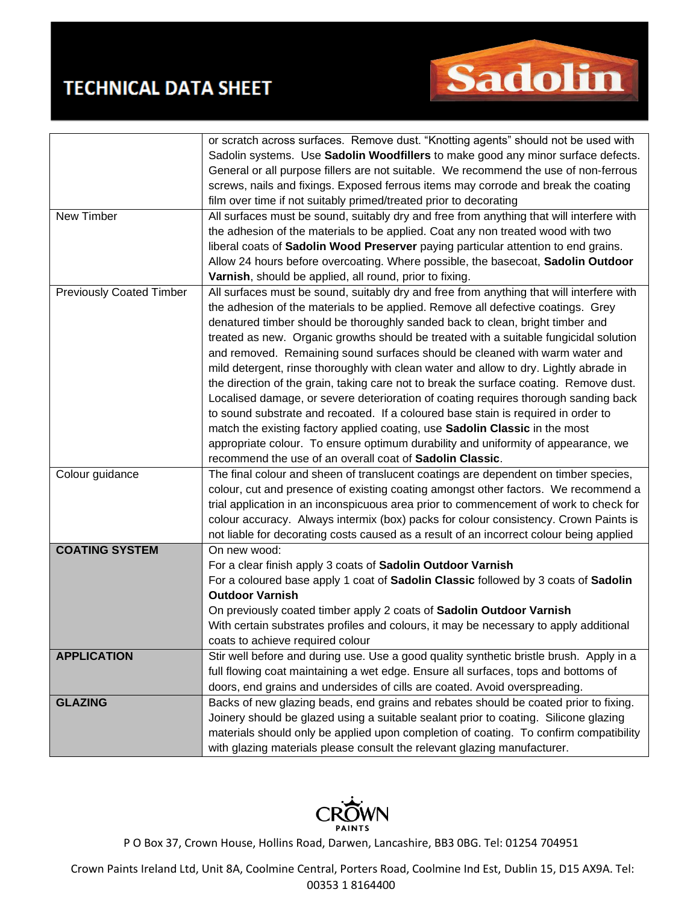## **TECHNICAL DATA SHEET**



|                                 | or scratch across surfaces. Remove dust. "Knotting agents" should not be used with       |
|---------------------------------|------------------------------------------------------------------------------------------|
|                                 | Sadolin systems. Use Sadolin Woodfillers to make good any minor surface defects.         |
|                                 | General or all purpose fillers are not suitable. We recommend the use of non-ferrous     |
|                                 | screws, nails and fixings. Exposed ferrous items may corrode and break the coating       |
|                                 | film over time if not suitably primed/treated prior to decorating                        |
| New Timber                      | All surfaces must be sound, suitably dry and free from anything that will interfere with |
|                                 | the adhesion of the materials to be applied. Coat any non treated wood with two          |
|                                 | liberal coats of Sadolin Wood Preserver paying particular attention to end grains.       |
|                                 | Allow 24 hours before overcoating. Where possible, the basecoat, Sadolin Outdoor         |
|                                 | Varnish, should be applied, all round, prior to fixing.                                  |
| <b>Previously Coated Timber</b> | All surfaces must be sound, suitably dry and free from anything that will interfere with |
|                                 | the adhesion of the materials to be applied. Remove all defective coatings. Grey         |
|                                 | denatured timber should be thoroughly sanded back to clean, bright timber and            |
|                                 | treated as new. Organic growths should be treated with a suitable fungicidal solution    |
|                                 | and removed. Remaining sound surfaces should be cleaned with warm water and              |
|                                 | mild detergent, rinse thoroughly with clean water and allow to dry. Lightly abrade in    |
|                                 | the direction of the grain, taking care not to break the surface coating. Remove dust.   |
|                                 | Localised damage, or severe deterioration of coating requires thorough sanding back      |
|                                 | to sound substrate and recoated. If a coloured base stain is required in order to        |
|                                 | match the existing factory applied coating, use Sadolin Classic in the most              |
|                                 | appropriate colour. To ensure optimum durability and uniformity of appearance, we        |
|                                 | recommend the use of an overall coat of Sadolin Classic.                                 |
| Colour guidance                 | The final colour and sheen of translucent coatings are dependent on timber species,      |
|                                 | colour, cut and presence of existing coating amongst other factors. We recommend a       |
|                                 | trial application in an inconspicuous area prior to commencement of work to check for    |
|                                 | colour accuracy. Always intermix (box) packs for colour consistency. Crown Paints is     |
|                                 | not liable for decorating costs caused as a result of an incorrect colour being applied  |
| <b>COATING SYSTEM</b>           | On new wood:                                                                             |
|                                 | For a clear finish apply 3 coats of Sadolin Outdoor Varnish                              |
|                                 | For a coloured base apply 1 coat of Sadolin Classic followed by 3 coats of Sadolin       |
|                                 | <b>Outdoor Varnish</b>                                                                   |
|                                 | On previously coated timber apply 2 coats of Sadolin Outdoor Varnish                     |
|                                 | With certain substrates profiles and colours, it may be necessary to apply additional    |
|                                 | coats to achieve required colour                                                         |
| <b>APPLICATION</b>              | Stir well before and during use. Use a good quality synthetic bristle brush. Apply in a  |
|                                 | full flowing coat maintaining a wet edge. Ensure all surfaces, tops and bottoms of       |
|                                 |                                                                                          |
|                                 | doors, end grains and undersides of cills are coated. Avoid overspreading.               |
| <b>GLAZING</b>                  | Backs of new glazing beads, end grains and rebates should be coated prior to fixing.     |
|                                 | Joinery should be glazed using a suitable sealant prior to coating. Silicone glazing     |
|                                 | materials should only be applied upon completion of coating. To confirm compatibility    |
|                                 | with glazing materials please consult the relevant glazing manufacturer.                 |



P O Box 37, Crown House, Hollins Road, Darwen, Lancashire, BB3 0BG. Tel: 01254 704951

Crown Paints Ireland Ltd, Unit 8A, Coolmine Central, Porters Road, Coolmine Ind Est, Dublin 15, D15 AX9A. Tel: 00353 1 8164400